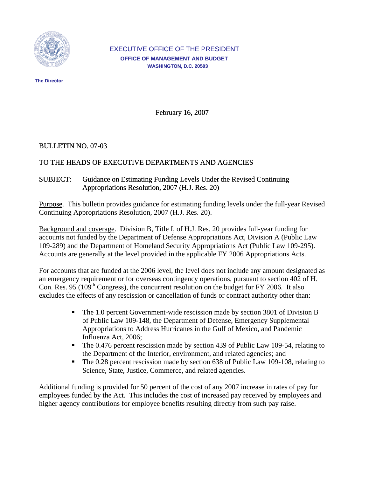

#### EXECUTIVE OFFICE OF THE PRESIDENT  **OFFICE OF MANAGEMENT AND BUDGET WASHINGTON, D.C. 20503**

 **The Director** 

February 16, 2007

### BULLETIN NO. 07-03

# TO THE HEADS OF EXECUTIVE DEPARTMENTS AND AGENCIES

# SUBJECT: Guidance on Estimating Funding Levels Under the Revised Continuing Appropriations Resolution, 2007 (H.J. Res. 20)

Purpose. This bulletin provides guidance for estimating funding levels under the full-year Revised Continuing Appropriations Resolution, 2007 (H.J. Res. 20).

Background and coverage. Division B, Title I, of H.J. Res. 20 provides full-year funding for accounts not funded by the Department of Defense Appropriations Act, Division A (Public Law 109-289) and the Department of Homeland Security Appropriations Act (Public Law 109-295). Accounts are generally at the level provided in the applicable FY 2006 Appropriations Acts.

For accounts that are funded at the 2006 level, the level does not include any amount designated as an emergency requirement or for overseas contingency operations, pursuant to section 402 of H. Con. Res. 95 (109<sup>th</sup> Congress), the concurrent resolution on the budget for FY 2006. It also excludes the effects of any rescission or cancellation of funds or contract authority other than:

- The 1.0 percent Government-wide rescission made by section 3801 of Division B of Public Law 109-148, the Department of Defense, Emergency Supplemental Appropriations to Address Hurricanes in the Gulf of Mexico, and Pandemic Influenza Act, 2006;
- The 0.476 percent rescission made by section 439 of Public Law 109-54, relating to the Department of the Interior, environment, and related agencies; and
- The 0.28 percent rescission made by section 638 of Public Law 109-108, relating to Science, State, Justice, Commerce, and related agencies.

Additional funding is provided for 50 percent of the cost of any 2007 increase in rates of pay for employees funded by the Act. This includes the cost of increased pay received by employees and higher agency contributions for employee benefits resulting directly from such pay raise.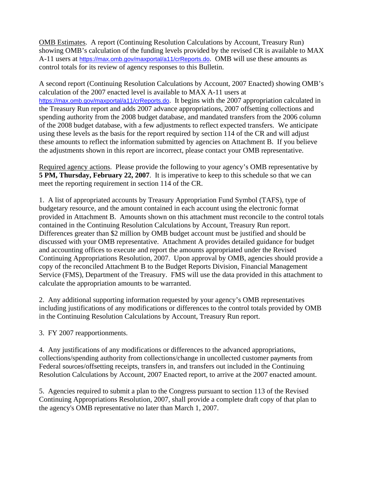OMB Estimates. A report (Continuing Resolution Calculations by Account, Treasury Run) showing OMB's calculation of the funding levels provided by the revised CR is available to MAX A-11 users at <https://max.omb.gov/maxportal/a11/crReports.do>. OMB will use these amounts as control totals for its review of agency responses to this Bulletin.

A second report (Continuing Resolution Calculations by Account, 2007 Enacted) showing OMB's calculation of the 2007 enacted level is available to MAX A-11 users at <https://max.omb.gov/maxportal/a11/crReports.do>. It begins with the 2007 appropriation calculated in the Treasury Run report and adds 2007 advance appropriations, 2007 offsetting collections and spending authority from the 2008 budget database, and mandated transfers from the 2006 column of the 2008 budget database, with a few adjustments to reflect expected transfers. We anticipate using these levels as the basis for the report required by section 114 of the CR and will adjust these amounts to reflect the information submitted by agencies on Attachment B. If you believe the adjustments shown in this report are incorrect, please contact your OMB representative.

Required agency actions. Please provide the following to your agency's OMB representative by **5 PM, Thursday, February 22, 2007**. It is imperative to keep to this schedule so that we can meet the reporting requirement in section 114 of the CR.

1. A list of appropriated accounts by Treasury Appropriation Fund Symbol (TAFS), type of budgetary resource, and the amount contained in each account using the electronic format provided in Attachment B. Amounts shown on this attachment must reconcile to the control totals contained in the Continuing Resolution Calculations by Account, Treasury Run report. Differences greater than \$2 million by OMB budget account must be justified and should be discussed with your OMB representative. Attachment A provides detailed guidance for budget and accounting offices to execute and report the amounts appropriated under the Revised Continuing Appropriations Resolution, 2007. Upon approval by OMB, agencies should provide a copy of the reconciled Attachment B to the Budget Reports Division, Financial Management Service (FMS), Department of the Treasury. FMS will use the data provided in this attachment to calculate the appropriation amounts to be warranted.

2. Any additional supporting information requested by your agency's OMB representatives including justifications of any modifications or differences to the control totals provided by OMB in the Continuing Resolution Calculations by Account, Treasury Run report.

3. FY 2007 reapportionments.

4. Any justifications of any modifications or differences to the advanced appropriations, collections/spending authority from collections/change in uncollected customer payments from Federal sources/offsetting receipts, transfers in, and transfers out included in the Continuing Resolution Calculations by Account, 2007 Enacted report, to arrive at the 2007 enacted amount.

5. Agencies required to submit a plan to the Congress pursuant to section 113 of the Revised Continuing Appropriations Resolution, 2007, shall provide a complete draft copy of that plan to the agency's OMB representative no later than March 1, 2007.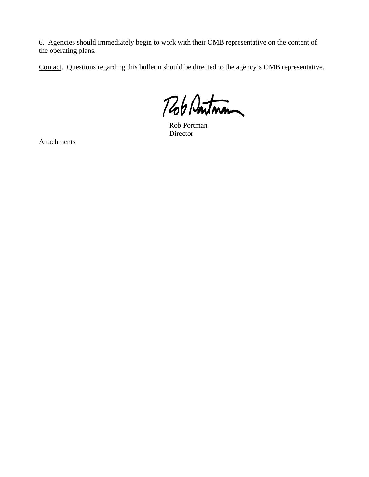6. Agencies should immediately begin to work with their OMB representative on the content of the operating plans.

Contact. Questions regarding this bulletin should be directed to the agency's OMB representative.

Rob Pontman

 Rob Portman Director

Attachments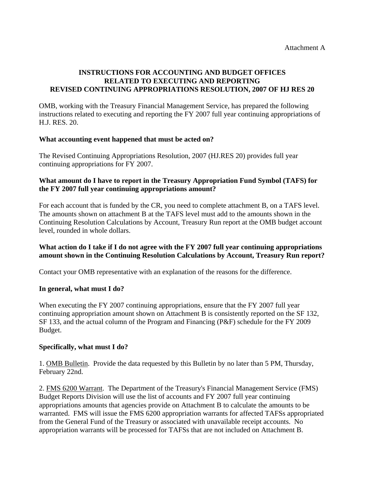# **INSTRUCTIONS FOR ACCOUNTING AND BUDGET OFFICES RELATED TO EXECUTING AND REPORTING REVISED CONTINUING APPROPRIATIONS RESOLUTION, 2007 OF HJ RES 20**

OMB, working with the Treasury Financial Management Service, has prepared the following instructions related to executing and reporting the FY 2007 full year continuing appropriations of H.J. RES. 20.

### **What accounting event happened that must be acted on?**

The Revised Continuing Appropriations Resolution, 2007 (HJ.RES 20) provides full year continuing appropriations for FY 2007.

### **What amount do I have to report in the Treasury Appropriation Fund Symbol (TAFS) for the FY 2007 full year continuing appropriations amount?**

For each account that is funded by the CR, you need to complete attachment B, on a TAFS level. The amounts shown on attachment B at the TAFS level must add to the amounts shown in the Continuing Resolution Calculations by Account, Treasury Run report at the OMB budget account level, rounded in whole dollars.

### **What action do I take if I do not agree with the FY 2007 full year continuing appropriations amount shown in the Continuing Resolution Calculations by Account, Treasury Run report?**

Contact your OMB representative with an explanation of the reasons for the difference.

#### **In general, what must I do?**

When executing the FY 2007 continuing appropriations, ensure that the FY 2007 full year continuing appropriation amount shown on Attachment B is consistently reported on the SF 132, SF 133, and the actual column of the Program and Financing (P&F) schedule for the FY 2009 Budget.

#### **Specifically, what must I do?**

1. OMB Bulletin. Provide the data requested by this Bulletin by no later than 5 PM, Thursday, February 22nd.

2. FMS 6200 Warrant. The Department of the Treasury's Financial Management Service (FMS) Budget Reports Division will use the list of accounts and FY 2007 full year continuing appropriations amounts that agencies provide on Attachment B to calculate the amounts to be warranted. FMS will issue the FMS 6200 appropriation warrants for affected TAFSs appropriated from the General Fund of the Treasury or associated with unavailable receipt accounts. No appropriation warrants will be processed for TAFSs that are not included on Attachment B.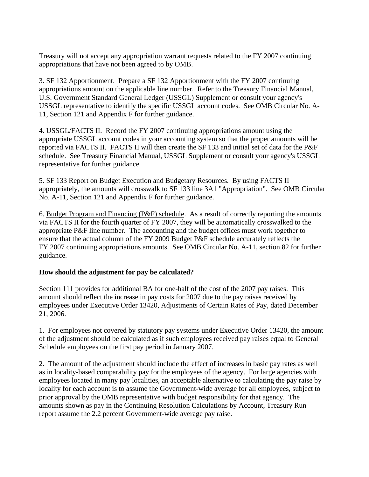Treasury will not accept any appropriation warrant requests related to the FY 2007 continuing appropriations that have not been agreed to by OMB.

3. SF 132 Apportionment. Prepare a SF 132 Apportionment with the FY 2007 continuing appropriations amount on the applicable line number. Refer to the Treasury Financial Manual, U.S. Government Standard General Ledger (USSGL) Supplement or consult your agency's USSGL representative to identify the specific USSGL account codes. See OMB Circular No. A-11, Section 121 and Appendix F for further guidance.

4. USSGL/FACTS II. Record the FY 2007 continuing appropriations amount using the appropriate USSGL account codes in your accounting system so that the proper amounts will be reported via FACTS II. FACTS II will then create the SF 133 and initial set of data for the P&F schedule. See Treasury Financial Manual, USSGL Supplement or consult your agency's USSGL representative for further guidance.

5. SF 133 Report on Budget Execution and Budgetary Resources. By using FACTS II appropriately, the amounts will crosswalk to SF 133 line 3A1 "Appropriation". See OMB Circular No. A-11, Section 121 and Appendix F for further guidance.

6. Budget Program and Financing (P&F) schedule. As a result of correctly reporting the amounts via FACTS II for the fourth quarter of FY 2007, they will be automatically crosswalked to the appropriate P&F line number. The accounting and the budget offices must work together to ensure that the actual column of the FY 2009 Budget P&F schedule accurately reflects the FY 2007 continuing appropriations amounts. See OMB Circular No. A-11, section 82 for further guidance.

### **How should the adjustment for pay be calculated?**

Section 111 provides for additional BA for one-half of the cost of the 2007 pay raises. This amount should reflect the increase in pay costs for 2007 due to the pay raises received by employees under Executive Order 13420, Adjustments of Certain Rates of Pay, dated December 21, 2006.

1. For employees not covered by statutory pay systems under Executive Order 13420, the amount of the adjustment should be calculated as if such employees received pay raises equal to General Schedule employees on the first pay period in January 2007.

2. The amount of the adjustment should include the effect of increases in basic pay rates as well as in locality-based comparability pay for the employees of the agency. For large agencies with employees located in many pay localities, an acceptable alternative to calculating the pay raise by locality for each account is to assume the Government-wide average for all employees, subject to prior approval by the OMB representative with budget responsibility for that agency. The amounts shown as pay in the Continuing Resolution Calculations by Account, Treasury Run report assume the 2.2 percent Government-wide average pay raise.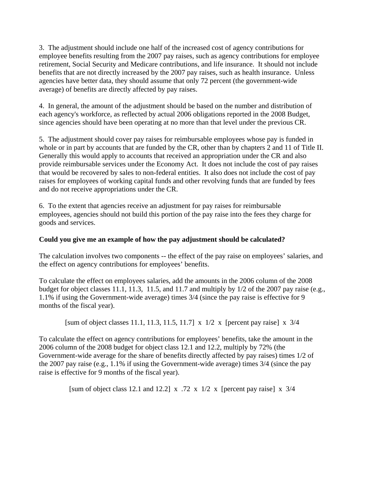3. The adjustment should include one half of the increased cost of agency contributions for employee benefits resulting from the 2007 pay raises, such as agency contributions for employee retirement, Social Security and Medicare contributions, and life insurance. It should not include benefits that are not directly increased by the 2007 pay raises, such as health insurance. Unless agencies have better data, they should assume that only 72 percent (the government-wide average) of benefits are directly affected by pay raises.

4. In general, the amount of the adjustment should be based on the number and distribution of each agency's workforce, as reflected by actual 2006 obligations reported in the 2008 Budget, since agencies should have been operating at no more than that level under the previous CR.

5. The adjustment should cover pay raises for reimbursable employees whose pay is funded in whole or in part by accounts that are funded by the CR, other than by chapters 2 and 11 of Title II. Generally this would apply to accounts that received an appropriation under the CR and also provide reimbursable services under the Economy Act. It does not include the cost of pay raises that would be recovered by sales to non-federal entities. It also does not include the cost of pay raises for employees of working capital funds and other revolving funds that are funded by fees and do not receive appropriations under the CR.

6. To the extent that agencies receive an adjustment for pay raises for reimbursable employees, agencies should not build this portion of the pay raise into the fees they charge for goods and services.

### **Could you give me an example of how the pay adjustment should be calculated?**

The calculation involves two components -- the effect of the pay raise on employees' salaries, and the effect on agency contributions for employees' benefits.

To calculate the effect on employees salaries, add the amounts in the 2006 column of the 2008 budget for object classes 11.1, 11.3, 11.5, and 11.7 and multiply by 1/2 of the 2007 pay raise (e.g., 1.1% if using the Government-wide average) times 3/4 (since the pay raise is effective for 9 months of the fiscal year).

[sum of object classes 11.1, 11.3, 11.5, 11.7] x 1/2 x [percent pay raise] x 3/4

To calculate the effect on agency contributions for employees' benefits, take the amount in the 2006 column of the 2008 budget for object class 12.1 and 12.2, multiply by 72% (the Government-wide average for the share of benefits directly affected by pay raises) times 1/2 of the 2007 pay raise (e.g., 1.1% if using the Government-wide average) times 3/4 (since the pay raise is effective for 9 months of the fiscal year).

[sum of object class 12.1 and 12.2] x .72 x 1/2 x [percent pay raise] x  $3/4$